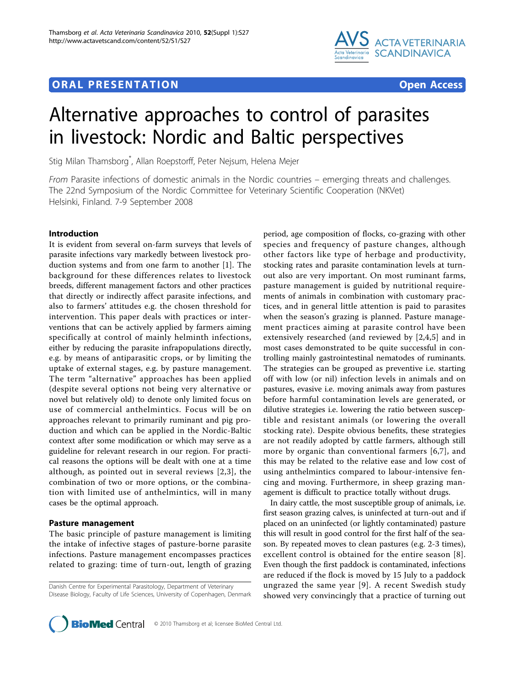# **ORAL PRESENTATION OPEN ACCESS**



# Alternative approaches to control of parasites in livestock: Nordic and Baltic perspectives

Stig Milan Thamsborg\* , Allan Roepstorff, Peter Nejsum, Helena Mejer

From Parasite infections of domestic animals in the Nordic countries – emerging threats and challenges. The 22nd Symposium of the Nordic Committee for Veterinary Scientific Cooperation (NKVet) Helsinki, Finland. 7-9 September 2008

# Introduction

It is evident from several on-farm surveys that levels of parasite infections vary markedly between livestock production systems and from one farm to another [\[1](#page-3-0)]. The background for these differences relates to livestock breeds, different management factors and other practices that directly or indirectly affect parasite infections, and also to farmers' attitudes e.g. the chosen threshold for intervention. This paper deals with practices or interventions that can be actively applied by farmers aiming specifically at control of mainly helminth infections, either by reducing the parasite infrapopulations directly, e.g. by means of antiparasitic crops, or by limiting the uptake of external stages, e.g. by pasture management. The term "alternative" approaches has been applied (despite several options not being very alternative or novel but relatively old) to denote only limited focus on use of commercial anthelmintics. Focus will be on approaches relevant to primarily ruminant and pig production and which can be applied in the Nordic-Baltic context after some modification or which may serve as a guideline for relevant research in our region. For practical reasons the options will be dealt with one at a time although, as pointed out in several reviews [\[2,3](#page-3-0)], the combination of two or more options, or the combination with limited use of anthelmintics, will in many cases be the optimal approach.

# Pasture management

The basic principle of pasture management is limiting the intake of infective stages of pasture-borne parasite infections. Pasture management encompasses practices related to grazing: time of turn-out, length of grazing

Danish Centre for Experimental Parasitology, Department of Veterinary Disease Biology, Faculty of Life Sciences, University of Copenhagen, Denmark

period, age composition of flocks, co-grazing with other species and frequency of pasture changes, although other factors like type of herbage and productivity, stocking rates and parasite contamination levels at turnout also are very important. On most ruminant farms, pasture management is guided by nutritional requirements of animals in combination with customary practices, and in general little attention is paid to parasites when the season's grazing is planned. Pasture management practices aiming at parasite control have been extensively researched (and reviewed by [\[2](#page-3-0),[4,5](#page-3-0)] and in most cases demonstrated to be quite successful in controlling mainly gastrointestinal nematodes of ruminants. The strategies can be grouped as preventive i.e. starting off with low (or nil) infection levels in animals and on pastures, evasive i.e. moving animals away from pastures before harmful contamination levels are generated, or dilutive strategies i.e. lowering the ratio between susceptible and resistant animals (or lowering the overall stocking rate). Despite obvious benefits, these strategies are not readily adopted by cattle farmers, although still more by organic than conventional farmers [[6](#page-3-0),[7\]](#page-3-0), and this may be related to the relative ease and low cost of using anthelmintics compared to labour-intensive fencing and moving. Furthermore, in sheep grazing management is difficult to practice totally without drugs.

In dairy cattle, the most susceptible group of animals, i.e. first season grazing calves, is uninfected at turn-out and if placed on an uninfected (or lightly contaminated) pasture this will result in good control for the first half of the season. By repeated moves to clean pastures (e.g. 2-3 times), excellent control is obtained for the entire season [[8](#page-3-0)]. Even though the first paddock is contaminated, infections are reduced if the flock is moved by 15 July to a paddock ungrazed the same year [[9](#page-3-0)]. A recent Swedish study showed very convincingly that a practice of turning out

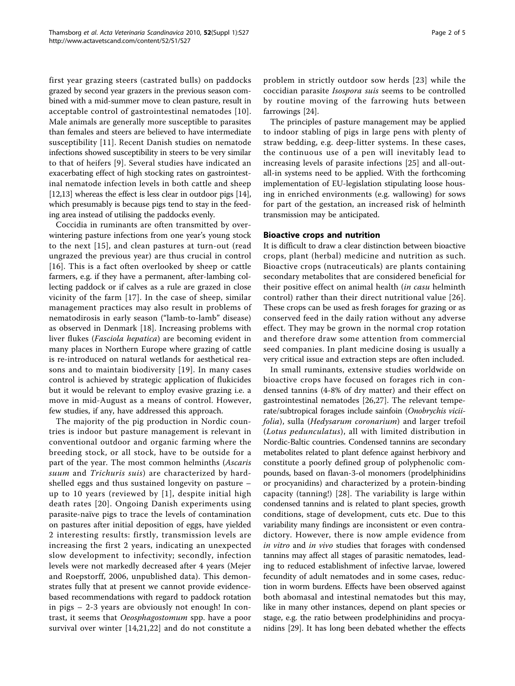first year grazing steers (castrated bulls) on paddocks grazed by second year grazers in the previous season combined with a mid-summer move to clean pasture, result in acceptable control of gastrointestinal nematodes [[10](#page-3-0)]. Male animals are generally more susceptible to parasites than females and steers are believed to have intermediate susceptibility [[11\]](#page-3-0). Recent Danish studies on nematode infections showed susceptibility in steers to be very similar to that of heifers [[9](#page-3-0)]. Several studies have indicated an exacerbating effect of high stocking rates on gastrointestinal nematode infection levels in both cattle and sheep [[12,13](#page-3-0)] whereas the effect is less clear in outdoor pigs [[14](#page-3-0)], which presumably is because pigs tend to stay in the feeding area instead of utilising the paddocks evenly.

Coccidia in ruminants are often transmitted by overwintering pasture infections from one year's young stock to the next [[15](#page-3-0)], and clean pastures at turn-out (read ungrazed the previous year) are thus crucial in control [[16](#page-3-0)]. This is a fact often overlooked by sheep or cattle farmers, e.g. if they have a permanent, after-lambing collecting paddock or if calves as a rule are grazed in close vicinity of the farm [[17](#page-3-0)]. In the case of sheep, similar management practices may also result in problems of nematodirosis in early season ("lamb-to-lamb" disease) as observed in Denmark [\[18](#page-3-0)]. Increasing problems with liver flukes (Fasciola hepatica) are becoming evident in many places in Northern Europe where grazing of cattle is re-introduced on natural wetlands for aesthetical reasons and to maintain biodiversity [[19\]](#page-3-0). In many cases control is achieved by strategic application of flukicides but it would be relevant to employ evasive grazing i.e. a move in mid-August as a means of control. However, few studies, if any, have addressed this approach.

The majority of the pig production in Nordic countries is indoor but pasture management is relevant in conventional outdoor and organic farming where the breeding stock, or all stock, have to be outside for a part of the year. The most common helminths (Ascaris suum and *Trichuris suis*) are characterized by hardshelled eggs and thus sustained longevity on pasture – up to 10 years (reviewed by [\[1\]](#page-3-0), despite initial high death rates [[20\]](#page-3-0). Ongoing Danish experiments using parasite-naïve pigs to trace the levels of contamination on pastures after initial deposition of eggs, have yielded 2 interesting results: firstly, transmission levels are increasing the first 2 years, indicating an unexpected slow development to infectivity; secondly, infection levels were not markedly decreased after 4 years (Mejer and Roepstorff, 2006, unpublished data). This demonstrates fully that at present we cannot provide evidencebased recommendations with regard to paddock rotation in pigs – 2-3 years are obviously not enough! In contrast, it seems that Oeosphagostomum spp. have a poor survival over winter [[14](#page-3-0),[21,22](#page-3-0)] and do not constitute a

problem in strictly outdoor sow herds [[23](#page-3-0)] while the coccidian parasite Isospora suis seems to be controlled by routine moving of the farrowing huts between farrowings [[24\]](#page-3-0).

The principles of pasture management may be applied to indoor stabling of pigs in large pens with plenty of straw bedding, e.g. deep-litter systems. In these cases, the continuous use of a pen will inevitably lead to increasing levels of parasite infections [[25](#page-3-0)] and all-outall-in systems need to be applied. With the forthcoming implementation of EU-legislation stipulating loose housing in enriched environments (e.g. wallowing) for sows for part of the gestation, an increased risk of helminth transmission may be anticipated.

## Bioactive crops and nutrition

It is difficult to draw a clear distinction between bioactive crops, plant (herbal) medicine and nutrition as such. Bioactive crops (nutraceuticals) are plants containing secondary metabolites that are considered beneficial for their positive effect on animal health (in casu helminth control) rather than their direct nutritional value [[26](#page-3-0)]. These crops can be used as fresh forages for grazing or as conserved feed in the daily ration without any adverse effect. They may be grown in the normal crop rotation and therefore draw some attention from commercial seed companies. In plant medicine dosing is usually a very critical issue and extraction steps are often included.

In small ruminants, extensive studies worldwide on bioactive crops have focused on forages rich in condensed tannins (4-8% of dry matter) and their effect on gastrointestinal nematodes [\[26,27](#page-3-0)]. The relevant temperate/subtropical forages include sainfoin (Onobrychis viciifolia), sulla (Hedysarum coronarium) and larger trefoil (Lotus pedunculatus), all with limited distribution in Nordic-Baltic countries. Condensed tannins are secondary metabolites related to plant defence against herbivory and constitute a poorly defined group of polyphenolic compounds, based on flavan-3-ol monomers (prodelphinidins or procyanidins) and characterized by a protein-binding capacity (tanning!) [\[28\]](#page-3-0). The variability is large within condensed tannins and is related to plant species, growth conditions, stage of development, cuts etc. Due to this variability many findings are inconsistent or even contradictory. However, there is now ample evidence from in vitro and in vivo studies that forages with condensed tannins may affect all stages of parasitic nematodes, leading to reduced establishment of infective larvae, lowered fecundity of adult nematodes and in some cases, reduction in worm burdens. Effects have been observed against both abomasal and intestinal nematodes but this may, like in many other instances, depend on plant species or stage, e.g. the ratio between prodelphinidins and procyanidins [\[29\]](#page-3-0). It has long been debated whether the effects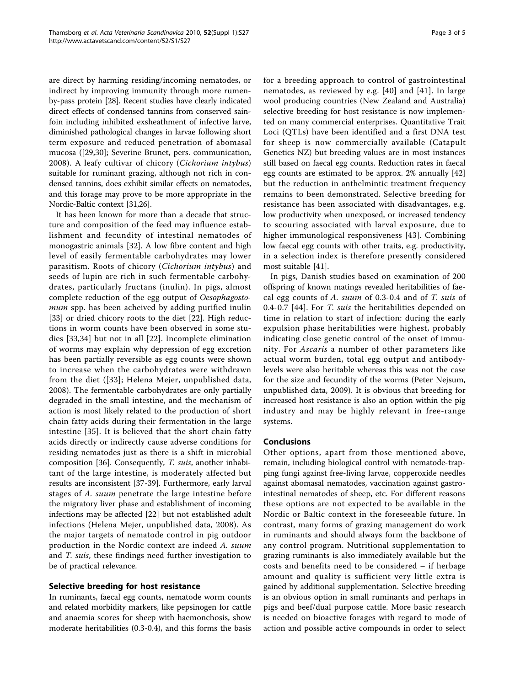are direct by harming residing/incoming nematodes, or indirect by improving immunity through more rumenby-pass protein [[28](#page-3-0)]. Recent studies have clearly indicated direct effects of condensed tannins from conserved sainfoin including inhibited exsheathment of infective larve, diminished pathological changes in larvae following short term exposure and reduced penetration of abomasal mucosa ([[29,](#page-3-0)[30](#page-4-0)]; Severine Brunet, pers. communication, 2008). A leafy cultivar of chicory (Cichorium intybus) suitable for ruminant grazing, although not rich in condensed tannins, does exhibit similar effects on nematodes, and this forage may prove to be more appropriate in the Nordic-Baltic context [\[31,](#page-4-0)[26](#page-3-0)].

It has been known for more than a decade that structure and composition of the feed may influence establishment and fecundity of intestinal nematodes of monogastric animals [[32](#page-4-0)]. A low fibre content and high level of easily fermentable carbohydrates may lower parasitism. Roots of chicory (Cichorium intybus) and seeds of lupin are rich in such fermentable carbohydrates, particularly fructans (inulin). In pigs, almost complete reduction of the egg output of Oesophagostomum spp. has been acheived by adding purified inulin [[33\]](#page-4-0) or dried chicory roots to the diet [\[22](#page-3-0)]. High reductions in worm counts have been observed in some studies [[33,34](#page-4-0)] but not in all [[22\]](#page-3-0). Incomplete elimination of worms may explain why depression of egg excretion has been partially reversible as egg counts were shown to increase when the carbohydrates were withdrawn from the diet ([[33\]](#page-4-0); Helena Mejer, unpublished data, 2008). The fermentable carbohydrates are only partially degraded in the small intestine, and the mechanism of action is most likely related to the production of short chain fatty acids during their fermentation in the large intestine [[35](#page-4-0)]. It is believed that the short chain fatty acids directly or indirectly cause adverse conditions for residing nematodes just as there is a shift in microbial composition [[36\]](#page-4-0). Consequently, T. suis, another inhabitant of the large intestine, is moderately affected but results are inconsistent [\[37](#page-4-0)-[39](#page-4-0)]. Furthermore, early larval stages of A. suum penetrate the large intestine before the migratory liver phase and establishment of incoming infections may be affected [\[22](#page-3-0)] but not established adult infections (Helena Mejer, unpublished data, 2008). As the major targets of nematode control in pig outdoor production in the Nordic context are indeed A. suum and T. suis, these findings need further investigation to be of practical relevance.

## Selective breeding for host resistance

In ruminants, faecal egg counts, nematode worm counts and related morbidity markers, like pepsinogen for cattle and anaemia scores for sheep with haemonchosis, show moderate heritabilities (0.3-0.4), and this forms the basis for a breeding approach to control of gastrointestinal nematodes, as reviewed by e.g. [\[40\]](#page-4-0) and [\[41\]](#page-4-0). In large wool producing countries (New Zealand and Australia) selective breeding for host resistance is now implemented on many commercial enterprises. Quantitative Trait Loci (QTLs) have been identified and a first DNA test for sheep is now commercially available (Catapult Genetics NZ) but breeding values are in most instances still based on faecal egg counts. Reduction rates in faecal egg counts are estimated to be approx. 2% annually [[42](#page-4-0)] but the reduction in anthelmintic treatment frequency remains to been demonstrated. Selective breeding for resistance has been associated with disadvantages, e.g. low productivity when unexposed, or increased tendency to scouring associated with larval exposure, due to higher immunological responsiveness [[43](#page-4-0)]. Combining low faecal egg counts with other traits, e.g. productivity, in a selection index is therefore presently considered most suitable [[41](#page-4-0)].

In pigs, Danish studies based on examination of 200 offspring of known matings revealed heritabilities of faecal egg counts of A. suum of 0.3-0.4 and of T. suis of 0.4-0.7 [[44\]](#page-4-0). For *T. suis* the heritabilities depended on time in relation to start of infection: during the early expulsion phase heritabilities were highest, probably indicating close genetic control of the onset of immunity. For Ascaris a number of other parameters like actual worm burden, total egg output and antibodylevels were also heritable whereas this was not the case for the size and fecundity of the worms (Peter Nejsum, unpublished data, 2009). It is obvious that breeding for increased host resistance is also an option within the pig industry and may be highly relevant in free-range systems.

## Conclusions

Other options, apart from those mentioned above, remain, including biological control with nematode-trapping fungi against free-living larvae, copperoxide needles against abomasal nematodes, vaccination against gastrointestinal nematodes of sheep, etc. For different reasons these options are not expected to be available in the Nordic or Baltic context in the foreseeable future. In contrast, many forms of grazing management do work in ruminants and should always form the backbone of any control program. Nutritional supplementation to grazing ruminants is also immediately available but the costs and benefits need to be considered – if herbage amount and quality is sufficient very little extra is gained by additional supplementation. Selective breeding is an obvious option in small ruminants and perhaps in pigs and beef/dual purpose cattle. More basic research is needed on bioactive forages with regard to mode of action and possible active compounds in order to select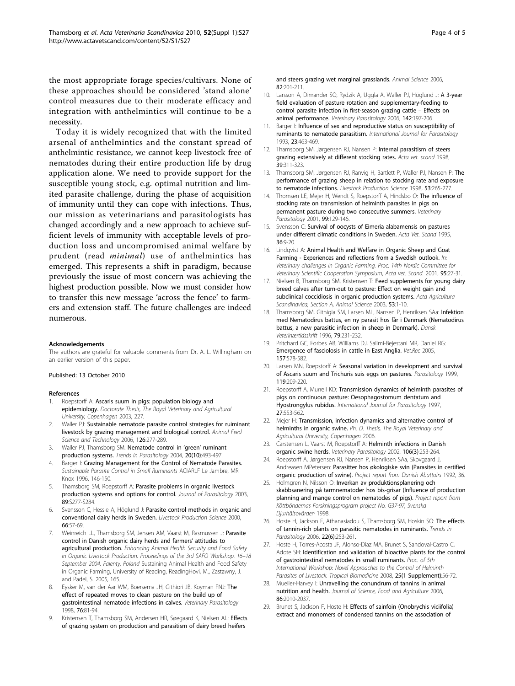<span id="page-3-0"></span>the most appropriate forage species/cultivars. None of these approaches should be considered 'stand alone' control measures due to their moderate efficacy and integration with anthelmintics will continue to be a necessity.

Today it is widely recognized that with the limited arsenal of anthelmintics and the constant spread of anthelmintic resistance, we cannot keep livestock free of nematodes during their entire production life by drug application alone. We need to provide support for the susceptible young stock, e.g. optimal nutrition and limited parasite challenge, during the phase of acquisition of immunity until they can cope with infections. Thus, our mission as veterinarians and parasitologists has changed accordingly and a new approach to achieve sufficient levels of immunity with acceptable levels of production loss and uncompromised animal welfare by prudent (read minimal) use of anthelmintics has emerged. This represents a shift in paradigm, because previously the issue of most concern was achieving the highest production possible. Now we must consider how to transfer this new message 'across the fence' to farmers and extension staff. The future challenges are indeed numerous.

#### Acknowledgements

The authors are grateful for valuable comments from Dr. A. L. Willingham on an earlier version of this paper.

#### Published: 13 October 2010

#### References

- Roepstorff A: Ascaris suum in pigs: population biology and epidemiology. Doctorate Thesis, The Royal Veterinary and Agricultural University, Copenhagen 2003, 227.
- 2. Waller PJ: Sustainable nematode parasite control strategies for ruiminant livestock by grazing management and biological control. Animal Feed Science and Technology 2006, 126:277-289.
- 3. Waller PJ, Thamsborg SM: [Nematode control in](http://www.ncbi.nlm.nih.gov/pubmed/15363444?dopt=Abstract) 'green' ruminant [production systems.](http://www.ncbi.nlm.nih.gov/pubmed/15363444?dopt=Abstract) Trends in Parasitology 2004, 20(10):493-497.
- 4. Barger I: Grazing Management for the Control of Nematode Parasites. Sustainable Parasite Control in Small Ruminants ACIARLF Le Jambre, MR Knox 1996, 146-150.
- 5. Thamsborg SM, Roepstorff A: Parasite problems in organic livestock production systems and options for control. Journal of Parasitology 2003, 89:S277-S284.
- Svensson C, Hessle A, Höglund J: Parasite control methods in organic and conventional dairy herds in Sweden. Livestock Production Science 2000, 66:57-69.
- 7. Weinreich LL, Thamsborg SM, Jensen AM, Vaarst M, Rasmussen J: Parasite control in Danish organic dairy herds and farmers' attitudes to agricultural production. Enhancing Animal Health Security and Food Safety in Organic Livestock Production. Proceedings of the 3rd SAFO Workshop. 16–18 September 2004, Falenty, Poland Sustaining Animal Health and Food Safety in Organic Farming, University of Reading, ReadingHovi, M., Zastawny, J. and Padel, S. 2005, 165.
- 8. Eysker M, van der Aar WM, Boersema JH, Githiori JB, Koyman FNJ: [The](http://www.ncbi.nlm.nih.gov/pubmed/9653993?dopt=Abstract) [effect of repeated moves to clean pasture on the build up of](http://www.ncbi.nlm.nih.gov/pubmed/9653993?dopt=Abstract) [gastrointestinal nematode infections in calves.](http://www.ncbi.nlm.nih.gov/pubmed/9653993?dopt=Abstract) Veterinary Parasitology 1998, 76:81-94.
- 9. Kristensen T, Thamsborg SM, Andersen HR, Søegaard K, Nielsen AL: Effects of grazing system on production and parasitism of dairy breed heifers

and steers grazing wet marginal grasslands. Animal Science 2006, 82:201-211.

- 10. Larsson A, Dimander SO, Rydzik A, Uggla A, Waller PJ, Höglund J: [A 3-year](http://www.ncbi.nlm.nih.gov/pubmed/16971047?dopt=Abstract) [field evaluation of pasture rotation and supplementary-feeding to](http://www.ncbi.nlm.nih.gov/pubmed/16971047?dopt=Abstract) [control parasite infection in first-season grazing cattle](http://www.ncbi.nlm.nih.gov/pubmed/16971047?dopt=Abstract) – Effects on [animal performance.](http://www.ncbi.nlm.nih.gov/pubmed/16971047?dopt=Abstract) Veterinary Parasitology 2006, 142:197-206.
- 11. Barger I: [Influence of sex and reproductive status on susceptibility of](http://www.ncbi.nlm.nih.gov/pubmed/8354597?dopt=Abstract) [ruminants to nematode parasitism.](http://www.ncbi.nlm.nih.gov/pubmed/8354597?dopt=Abstract) International Journal for Parasitology 1993, 23:463-469.
- 12. Thamsborg SM, Jørgensen RJ, Nansen P: [Internal parasitism of steers](http://www.ncbi.nlm.nih.gov/pubmed/9787494?dopt=Abstract) [grazing extensively at different stocking rates.](http://www.ncbi.nlm.nih.gov/pubmed/9787494?dopt=Abstract) Acta vet. scand 1998, 39:311-323.
- 13. Thamsborg SM, Jørgensen RJ, Ranvig H, Bartlett P, Waller PJ, Nansen P: The performance of grazing sheep in relation to stocking rate and exposure to nematode infections. Livestock Production Science 1998, 53:265-277.
- 14. Thomsen LE, Mejer H, Wendt S, Roepstorff A, Hindsbo O: [The influence of](http://www.ncbi.nlm.nih.gov/pubmed/11470180?dopt=Abstract) [stocking rate on transmission of helminth parasites in pigs on](http://www.ncbi.nlm.nih.gov/pubmed/11470180?dopt=Abstract) [permanent pasture during two consecutive summers.](http://www.ncbi.nlm.nih.gov/pubmed/11470180?dopt=Abstract) Veterinary Parasitology 2001, 99:129-146.
- 15. Svensson C: [Survival of oocysts of Eimeria alabamensis on pastures](http://www.ncbi.nlm.nih.gov/pubmed/7572462?dopt=Abstract) [under different climatic conditions in Sweden.](http://www.ncbi.nlm.nih.gov/pubmed/7572462?dopt=Abstract) Acta Vet. Scand 1995, 36:9-20.
- 16. Lindqvist A: Animal Health and Welfare in Organic Sheep and Goat Farming - Experiences and reflections from a Swedish outlook. In: Veterinary challenges in Organic Farming. Proc. 14th Nordic Committee for Veterinary Scientific Cooperation Symposium, Acta vet. Scand. 2001, 95:27-31.
- 17. Nielsen B, Thamsborg SM, Kristensen T: Feed supplements for young dairy breed calves after turn-out to pasture: Effect on weight gain and subclinical coccidiosis in organic production systems. Acta Agricultura Scandinavica, Section A, Animal Science 2003, 53:1-10.
- 18. Thamsborg SM, Githigia SM, Larsen ML, Nansen P, Henriksen SAa: Infektion med Nematodirus battus, en ny parasit hos får i Danmark (Nematodirus battus, a new parasitic infection in sheep in Denmark). Dansk Veterinærtidsskrift 1996, 79:231-232.
- 19. Pritchard GC, Forbes AB, Williams DJ, Salimi-Bejestani MR, Daniel RG: [Emergence of fasciolosis in cattle in East Anglia.](http://www.ncbi.nlm.nih.gov/pubmed/16272544?dopt=Abstract) Vet.Rec 2005, 157:578-582.
- 20. Larsen MN, Roepstorff A: [Seasonal variation in development and survival](http://www.ncbi.nlm.nih.gov/pubmed/10466129?dopt=Abstract) [of Ascaris suum and Trichuris suis eggs on pastures.](http://www.ncbi.nlm.nih.gov/pubmed/10466129?dopt=Abstract) Parasitology 1999, 119:209-220.
- 21. Roepstorff A, Murrell KD: [Transmission dynamics of helminth parasites of](http://www.ncbi.nlm.nih.gov/pubmed/9193949?dopt=Abstract) [pigs on continuous pasture: Oesophagostomum dentatum and](http://www.ncbi.nlm.nih.gov/pubmed/9193949?dopt=Abstract) [Hyostrongylus rubidus.](http://www.ncbi.nlm.nih.gov/pubmed/9193949?dopt=Abstract) International Journal for Parasitology 1997, 27:553-562.
- 22. Mejer H: Transmission, infection dynamics and alternative control of helminths in organic swine. Ph. D. Thesis, The Royal Veterinary and Agricultural University, Copenhagen 2006.
- 23. Carstensen L, Vaarst M, Roepstorff A: [Helminth infections in Danish](http://www.ncbi.nlm.nih.gov/pubmed/12062513?dopt=Abstract) [organic swine herds.](http://www.ncbi.nlm.nih.gov/pubmed/12062513?dopt=Abstract) Veterinary Parasitology 2002, 106(3):253-264.
- 24. Roepstorff A, Jørgensen RJ, Nansen P, Henriksen SAa, Skovgaard J, Andreasen MPetersen: Parasitter hos økologiske svin (Parasites in certified organic production of swine). Project report from Danish Abattoirs 1992, 36.
- 25. Holmgren N, Nilsson O: Inverkan av produktionsplanering och skabbsanering på tarmnematoder hos bis-grisar (Influence of production planning and mange control on nematodes of pigs). Project report from Köttböndernas Forskningsprogram project No. G37-97, Svenska Djurhälsovården 1998.
- 26. Hoste H, Jackson F, Athanasiadou S, Thamsborg SM, Hoskin SO: [The effects](http://www.ncbi.nlm.nih.gov/pubmed/16632404?dopt=Abstract) [of tannin-rich plants on parasitic nematodes in ruminants.](http://www.ncbi.nlm.nih.gov/pubmed/16632404?dopt=Abstract) Trends in Parasitology 2006, 22(6):253-261.
- 27. Hoste H, Torres-Acosta JF, Alonso-Diaz MA, Brunet S, Sandoval-Castro C, Adote SH: Identification and validation of bioactive plants for the control of gastrointestinal nematodes in small ruminants. Proc. of 5th International Workshop: Novel Approaches to the Control of Helminth Parasites of Livestock. Tropical Biomedicine 2008, 25(1 Supplement):56-72.
- 28. Mueller-Harvey I: Unravelling the conundrum of tannins in animal nutrition and health. Journal of Science, Food and Agriculture 2006, 86:2010-2037.
- 29. Brunet S, Jackson F, Hoste H: [Effects of sainfoin \(Onobrychis viciifolia\)](http://www.ncbi.nlm.nih.gov/pubmed/18093592?dopt=Abstract) [extract and monomers of condensed tannins on the association of](http://www.ncbi.nlm.nih.gov/pubmed/18093592?dopt=Abstract)